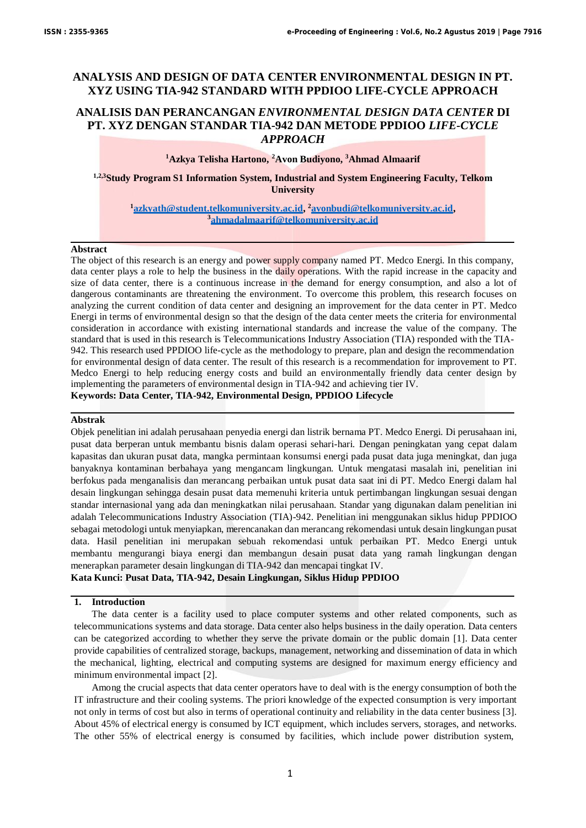# **ANALYSIS AND DESIGN OF DATA CENTER ENVIRONMENTAL DESIGN IN PT. XYZ USING TIA-942 STANDARD WITH PPDIOO LIFE-CYCLE APPROACH**

# **ANALISIS DAN PERANCANGAN** *ENVIRONMENTAL DESIGN DATA CENTER* **DI PT. XYZ DENGAN STANDAR TIA-942 DAN METODE PPDIOO** *LIFE-CYCLE APPROACH*

# **<sup>1</sup>Azkya Telisha Hartono, <sup>2</sup>Avon Budiyono, <sup>3</sup>Ahmad Almaarif**

**1,2,3Study Program S1 Information System, Industrial and System Engineering Faculty, Telkom University**

# **<sup>1</sup>azkyath@student.telkomuniversity.ac.id, <sup>2</sup>avonbudi@telkomuniversity.ac.id, 3 ahmadalmaarif@telkomuniversity.ac.id**

# **Abstract**

The object of this research is an energy and power supply company named PT. Medco Energi. In this company, data center plays a role to help the business in the daily operations. With the rapid increase in the capacity and size of data center, there is a continuous increase in the demand for energy consumption, and also a lot of dangerous contaminants are threatening the environment. To overcome this problem, this research focuses on analyzing the current condition of data center and designing an improvement for the data center in PT. Medco Energi in terms of environmental design so that the design of the data center meets the criteria for environmental consideration in accordance with existing international standards and increase the value of the company. The standard that is used in this research is Telecommunications Industry Association (TIA) responded with the TIA-942. This research used PPDIOO life-cycle as the methodology to prepare, plan and design the recommendation for environmental design of data center. The result of this research is a recommendation for improvement to PT. Medco Energi to help reducing energy costs and build an environmentally friendly data center design by implementing the parameters of environmental design in TIA-942 and achieving tier IV. **Keywords: Data Center, TIA-942, Environmental Design, PPDIOO Lifecycle**

# **Abstrak**

Objek penelitian ini adalah perusahaan penyedia energi dan listrik bernama PT. Medco Energi. Di perusahaan ini, pusat data berperan untuk membantu bisnis dalam operasi sehari-hari. Dengan peningkatan yang cepat dalam kapasitas dan ukuran pusat data, mangka permintaan konsumsi energi pada pusat data juga meningkat, dan juga banyaknya kontaminan berbahaya yang mengancam lingkungan. Untuk mengatasi masalah ini, penelitian ini berfokus pada menganalisis dan merancang perbaikan untuk pusat data saat ini di PT. Medco Energi dalam hal desain lingkungan sehingga desain pusat data memenuhi kriteria untuk pertimbangan lingkungan sesuai dengan standar internasional yang ada dan meningkatkan nilai perusahaan. Standar yang digunakan dalam penelitian ini adalah Telecommunications Industry Association (TIA)-942. Penelitian ini menggunakan siklus hidup PPDIOO sebagai metodologi untuk menyiapkan, merencanakan dan merancang rekomendasi untuk desain lingkungan pusat data. Hasil penelitian ini merupakan sebuah rekomendasi untuk perbaikan PT. Medco Energi untuk membantu mengurangi biaya energi dan membangun desain pusat data yang ramah lingkungan dengan menerapkan parameter desain lingkungan di TIA-942 dan mencapai tingkat IV. **Kata Kunci: Pusat Data, TIA-942, Desain Lingkungan, Siklus Hidup PPDIOO**

## **1. Introduction**

The data center is a facility used to place computer systems and other related components, such as telecommunications systems and data storage. Data center also helps business in the daily operation. Data centers can be categorized according to whether they serve the private domain or the public domain [1]. Data center provide capabilities of centralized storage, backups, management, networking and dissemination of data in which the mechanical, lighting, electrical and computing systems are designed for maximum energy efficiency and minimum environmental impact [2].

Among the crucial aspects that data center operators have to deal with is the energy consumption of both the IT infrastructure and their cooling systems. The priori knowledge of the expected consumption is very important not only in terms of cost but also in terms of operational continuity and reliability in the data center business [3]. About 45% of electrical energy is consumed by ICT equipment, which includes servers, storages, and networks. The other 55% of electrical energy is consumed by facilities, which include power distribution system,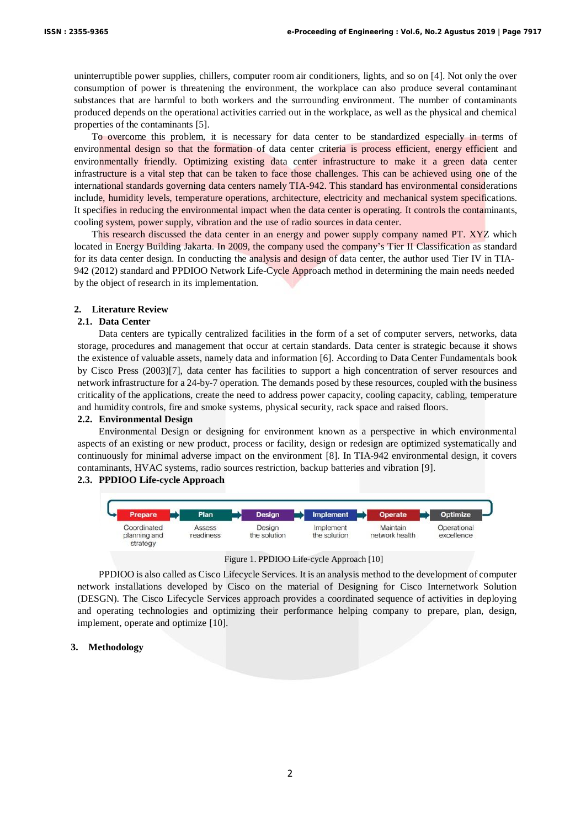uninterruptible power supplies, chillers, computer room air conditioners, lights, and so on [4]. Not only the over consumption of power is threatening the environment, the workplace can also produce several contaminant substances that are harmful to both workers and the surrounding environment. The number of contaminants produced depends on the operational activities carried out in the workplace, as well as the physical and chemical properties of the contaminants [5].

To overcome this problem, it is necessary for data center to be standardized especially in terms of environmental design so that the formation of data center criteria is process efficient, energy efficient and environmentally friendly. Optimizing existing data center infrastructure to make it a green data center infrastructure is a vital step that can be taken to face those challenges. This can be achieved using one of the international standards governing data centers namely TIA-942. This standard has environmental considerations include, humidity levels, temperature operations, architecture, electricity and mechanical system specifications. It specifies in reducing the environmental impact when the data center is operating. It controls the contaminants, cooling system, power supply, vibration and the use of radio sources in data center.

This research discussed the data center in an energy and power supply company named PT. XYZ which located in Energy Building Jakarta. In 2009, the company used the company's Tier II Classification as standard for its data center design. In conducting the analysis and design of data center, the author used Tier IV in TIA-942 (2012) standard and PPDIOO Network Life-Cycle Approach method in determining the main needs needed by the object of research in its implementation.

## **2. Literature Review**

# **2.1. Data Center**

Data centers are typically centralized facilities in the form of a set of computer servers, networks, data storage, procedures and management that occur at certain standards. Data center is strategic because it shows the existence of valuable assets, namely data and information [6]. According to Data Center Fundamentals book by Cisco Press (2003)[7], data center has facilities to support a high concentration of server resources and network infrastructure for a 24-by-7 operation. The demands posed by these resources, coupled with the business criticality of the applications, create the need to address power capacity, cooling capacity, cabling, temperature and humidity controls, fire and smoke systems, physical security, rack space and raised floors.

## **2.2. Environmental Design**

Environmental Design or designing for environment known as a perspective in which environmental aspects of an existing or new product, process or facility, design or redesign are optimized systematically and continuously for minimal adverse impact on the environment [8]. In TIA-942 environmental design, it covers contaminants, HVAC systems, radio sources restriction, backup batteries and vibration [9].

## **2.3. PPDIOO Life-cycle Approach**



Figure 1. PPDIOO Life-cycle Approach [10]

PPDIOO is also called as Cisco Lifecycle Services. It is an analysis method to the development of computer network installations developed by Cisco on the material of Designing for Cisco Internetwork Solution (DESGN). The Cisco Lifecycle Services approach provides a coordinated sequence of activities in deploying and operating technologies and optimizing their performance helping company to prepare, plan, design, implement, operate and optimize [10].

### **3. Methodology**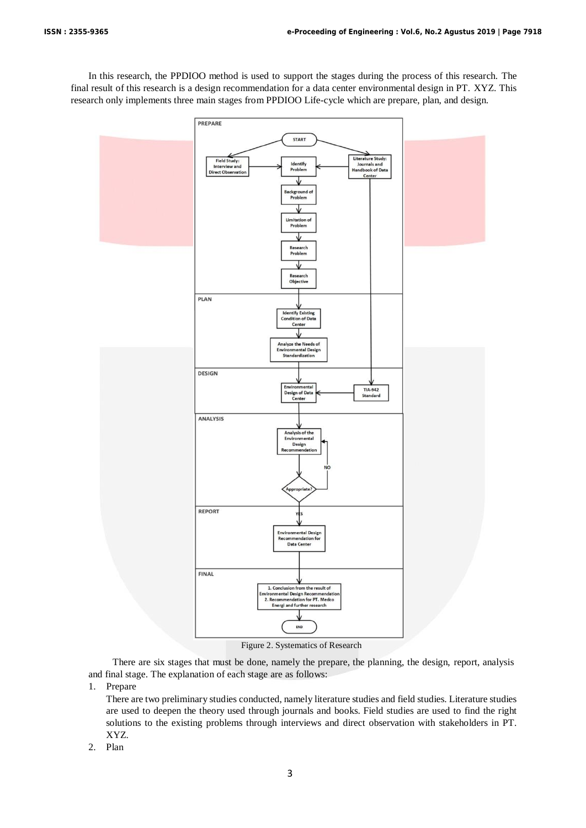In this research, the PPDIOO method is used to support the stages during the process of this research. The final result of this research is a design recommendation for a data center environmental design in PT. XYZ. This research only implements three main stages from PPDIOO Life-cycle which are prepare, plan, and design.



There are six stages that must be done, namely the prepare, the planning, the design, report, analysis and final stage. The explanation of each stage are as follows:

1. Prepare

There are two preliminary studies conducted, namely literature studies and field studies. Literature studies are used to deepen the theory used through journals and books. Field studies are used to find the right solutions to the existing problems through interviews and direct observation with stakeholders in PT. XYZ.

2. Plan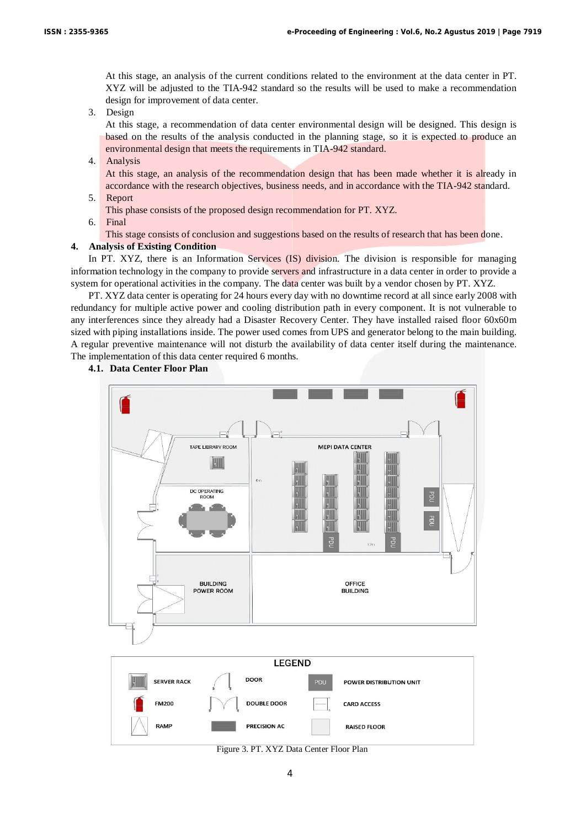At this stage, an analysis of the current conditions related to the environment at the data center in PT. XYZ will be adjusted to the TIA-942 standard so the results will be used to make a recommendation design for improvement of data center.

3. Design

At this stage, a recommendation of data center environmental design will be designed. This design is based on the results of the analysis conducted in the planning stage, so it is expected to produce an environmental design that meets the requirements in TIA-942 standard.

4. Analysis

At this stage, an analysis of the recommendation design that has been made whether it is already in accordance with the research objectives, business needs, and in accordance with the TIA-942 standard.

5. Report

This phase consists of the proposed design recommendation for PT. XYZ.

6. Final

This stage consists of conclusion and suggestions based on the results of research that has been done.

## **4. Analysis of Existing Condition**

In PT. XYZ, there is an Information Services (IS) division. The division is responsible for managing information technology in the company to provide servers and infrastructure in a data center in order to provide a system for operational activities in the company. The data center was built by a vendor chosen by PT. XYZ.

PT. XYZ data center is operating for 24 hours every day with no downtime record at all since early 2008 with redundancy for multiple active power and cooling distribution path in every component. It is not vulnerable to any interferences since they already had a Disaster Recovery Center. They have installed raised floor 60x60m sized with piping installations inside. The power used comes from UPS and generator belong to the main building. A regular preventive maintenance will not disturb the availability of data center itself during the maintenance. The implementation of this data center required 6 months.

# **4.1. Data Center Floor Plan**



Figure 3. PT. XYZ Data Center Floor Plan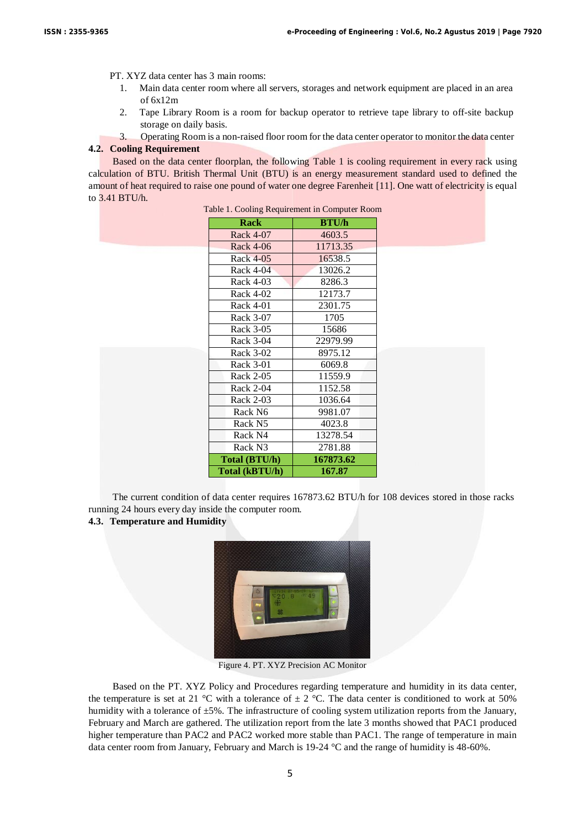PT. XYZ data center has 3 main rooms:

- 1. Main data center room where all servers, storages and network equipment are placed in an area of 6x12m
- 2. Tape Library Room is a room for backup operator to retrieve tape library to off-site backup storage on daily basis.
- 3. Operating Room is a non-raised floor room for the data center operator to monitor the data center **4.2. Cooling Requirement**

Based on the data center floorplan, the following Table 1 is cooling requirement in every rack using calculation of BTU. British Thermal Unit (BTU) is an energy measurement standard used to defined the amount of heat required to raise one pound of water one degree Farenheit [11]. One watt of electricity is equal to 3.41 BTU/h.

| Rack                 | <b>BTU/h</b> |
|----------------------|--------------|
| Rack 4-07            | 4603.5       |
| Rack 4-06            | 11713.35     |
| Rack 4-05            | 16538.5      |
| Rack 4-04            | 13026.2      |
| Rack 4-03            | 8286.3       |
| Rack 4-02            | 12173.7      |
| Rack 4-01            | 2301.75      |
| Rack 3-07            | 1705         |
| Rack 3-05            | 15686        |
| Rack 3-04            | 22979.99     |
| Rack 3-02            | 8975.12      |
| Rack 3-01            | 6069.8       |
| Rack 2-05            | 11559.9      |
| Rack 2-04            | 1152.58      |
| Rack 2-03            | 1036.64      |
| Rack N6              | 9981.07      |
| Rack N5              | 4023.8       |
| Rack N4              | 13278.54     |
| Rack N3              | 2781.88      |
| <b>Total (BTU/h)</b> | 167873.62    |
| Total (kBTU/h)       | 167.87       |

Table 1. Cooling Requirement in Computer Room

The current condition of data center requires 167873.62 BTU/h for 108 devices stored in those racks running 24 hours every day inside the computer room.

# **4.3. Temperature and Humidity**



Figure 4. PT. XYZ Precision AC Monitor

Based on the PT. XYZ Policy and Procedures regarding temperature and humidity in its data center, the temperature is set at 21 °C with a tolerance of  $\pm$  2 °C. The data center is conditioned to work at 50% humidity with a tolerance of  $\pm 5\%$ . The infrastructure of cooling system utilization reports from the January, February and March are gathered. The utilization report from the late 3 months showed that PAC1 produced higher temperature than PAC2 and PAC2 worked more stable than PAC1. The range of temperature in main data center room from January, February and March is 19-24 °C and the range of humidity is 48-60%.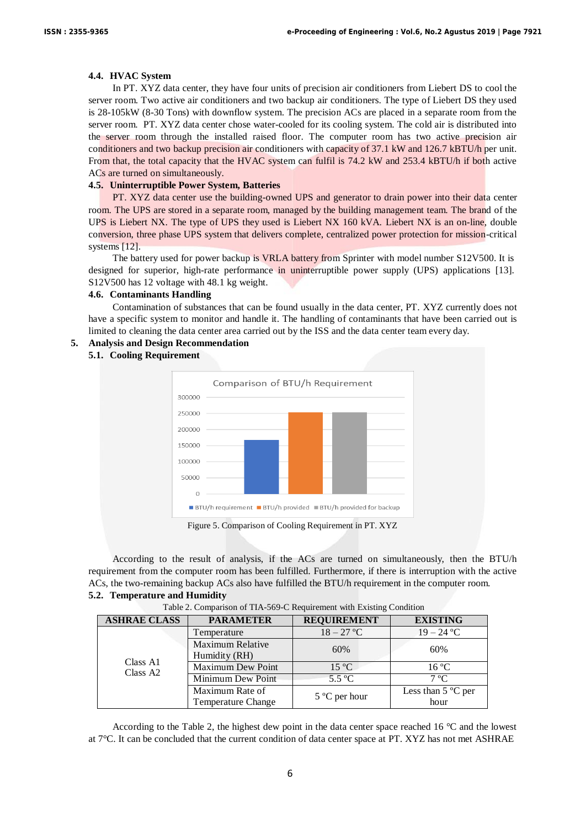## **4.4. HVAC System**

In PT. XYZ data center, they have four units of precision air conditioners from Liebert DS to cool the server room. Two active air conditioners and two backup air conditioners. The type of Liebert DS they used is 28-105kW (8-30 Tons) with downflow system. The precision ACs are placed in a separate room from the server room. PT. XYZ data center chose water-cooled for its cooling system. The cold air is distributed into the server room through the installed raised floor. The computer room has two active precision air conditioners and two backup precision air conditioners with capacity of 37.1 kW and 126.7 kBTU/h per unit. From that, the total capacity that the HVAC system can fulfil is 74.2 kW and 253.4 kBTU/h if both active ACs are turned on simultaneously.

# **4.5. Uninterruptible Power System, Batteries**

PT. XYZ data center use the building-owned UPS and generator to drain power into their data center room. The UPS are stored in a separate room, managed by the building management team. The brand of the UPS is Liebert NX. The type of UPS they used is Liebert NX 160 kVA. Liebert NX is an on-line, double conversion, three phase UPS system that delivers complete, centralized power protection for mission-critical systems [12].

The battery used for power backup is VRLA battery from Sprinter with model number S12V500. It is designed for superior, high-rate performance in uninterruptible power supply (UPS) applications [13]. S12V500 has 12 voltage with 48.1 kg weight.

# **4.6. Contaminants Handling**

Contamination of substances that can be found usually in the data center, PT. XYZ currently does not have a specific system to monitor and handle it. The handling of contaminants that have been carried out is limited to cleaning the data center area carried out by the ISS and the data center team every day.

### **5. Analysis and Design Recommendation**

## **5.1. Cooling Requirement**



Figure 5. Comparison of Cooling Requirement in PT. XYZ

According to the result of analysis, if the ACs are turned on simultaneously, then the BTU/h requirement from the computer room has been fulfilled. Furthermore, if there is interruption with the active ACs, the two-remaining backup ACs also have fulfilled the BTU/h requirement in the computer room. **5.2. Temperature and Humidity**

| <b>ASHRAE CLASS</b>              | <b>PARAMETER</b>                         | <b>REQUIREMENT</b>     | <b>EXISTING</b>            |
|----------------------------------|------------------------------------------|------------------------|----------------------------|
|                                  | Temperature                              | $18 - 27$ °C           | $19 - 24$ °C               |
|                                  | <b>Maximum Relative</b><br>Humidity (RH) | 60%                    | 60%                        |
| Class A1<br>Class A <sub>2</sub> | <b>Maximum Dew Point</b>                 | $15^{\circ}$ C         | $16^{\circ}$ C             |
|                                  | Minimum Dew Point                        | 5.5 °C                 | $7^{\circ}C$               |
|                                  | Maximum Rate of<br>Temperature Change    | $5^{\circ}$ C per hour | Less than 5 °C per<br>hour |

Table 2. Comparison of TIA-569-C Requirement with Existing Condition

According to the Table 2, the highest dew point in the data center space reached 16 °C and the lowest at 7°C. It can be concluded that the current condition of data center space at PT. XYZ has not met ASHRAE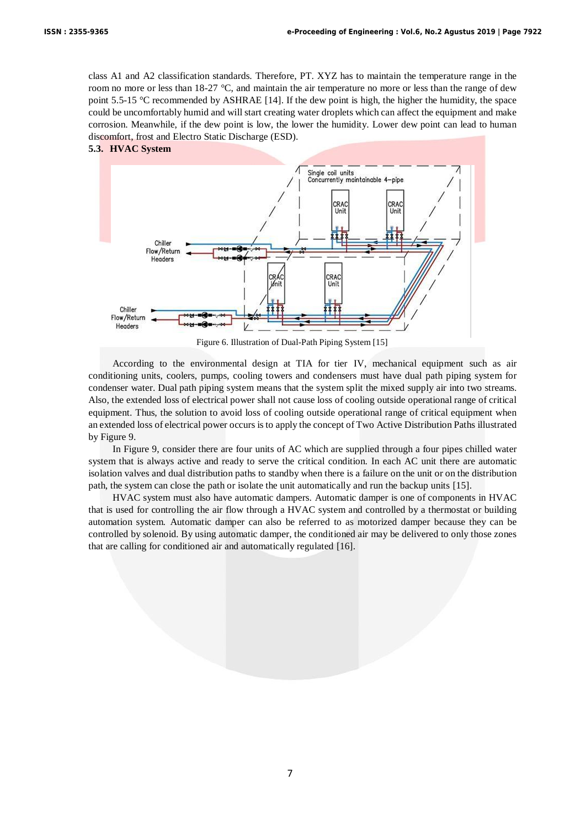class A1 and A2 classification standards. Therefore, PT. XYZ has to maintain the temperature range in the room no more or less than 18-27 °C, and maintain the air temperature no more or less than the range of dew point 5.5-15 °C recommended by ASHRAE [14]. If the dew point is high, the higher the humidity, the space could be uncomfortably humid and will start creating water droplets which can affect the equipment and make corrosion. Meanwhile, if the dew point is low, the lower the humidity. Lower dew point can lead to human discomfort, frost and Electro Static Discharge (ESD).





Figure 6. Illustration of Dual-Path Piping System [15]

According to the environmental design at TIA for tier IV, mechanical equipment such as air conditioning units, coolers, pumps, cooling towers and condensers must have dual path piping system for condenser water. Dual path piping system means that the system split the mixed supply air into two streams. Also, the extended loss of electrical power shall not cause loss of cooling outside operational range of critical equipment. Thus, the solution to avoid loss of cooling outside operational range of critical equipment when an extended loss of electrical power occurs is to apply the concept of Two Active Distribution Paths illustrated by Figure 9.

In Figure 9, consider there are four units of AC which are supplied through a four pipes chilled water system that is always active and ready to serve the critical condition. In each AC unit there are automatic isolation valves and dual distribution paths to standby when there is a failure on the unit or on the distribution path, the system can close the path or isolate the unit automatically and run the backup units [15].

HVAC system must also have automatic dampers. Automatic damper is one of components in HVAC that is used for controlling the air flow through a HVAC system and controlled by a thermostat or building automation system. Automatic damper can also be referred to as motorized damper because they can be controlled by solenoid. By using automatic damper, the conditioned air may be delivered to only those zones that are calling for conditioned air and automatically regulated [16].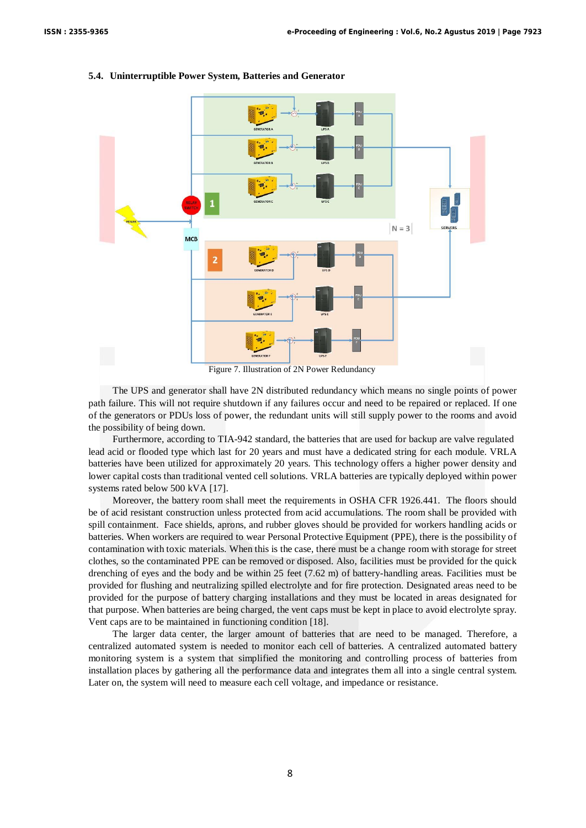

#### **5.4. Uninterruptible Power System, Batteries and Generator**

The UPS and generator shall have 2N distributed redundancy which means no single points of power path failure. This will not require shutdown if any failures occur and need to be repaired or replaced. If one of the generators or PDUs loss of power, the redundant units will still supply power to the rooms and avoid the possibility of being down.

Furthermore, according to TIA-942 standard, the batteries that are used for backup are valve regulated lead acid or flooded type which last for 20 years and must have a dedicated string for each module. VRLA batteries have been utilized for approximately 20 years. This technology offers a higher power density and lower capital costs than traditional vented cell solutions. VRLA batteries are typically deployed within power systems rated below 500 kVA [17].

Moreover, the battery room shall meet the requirements in OSHA CFR 1926.441. The floors should be of acid resistant construction unless protected from acid accumulations. The room shall be provided with spill containment. Face shields, aprons, and rubber gloves should be provided for workers handling acids or batteries. When workers are required to wear Personal Protective Equipment (PPE), there is the possibility of contamination with toxic materials. When this is the case, there must be a change room with storage for street clothes, so the contaminated PPE can be removed or disposed. Also, facilities must be provided for the quick drenching of eyes and the body and be within 25 feet (7.62 m) of battery-handling areas. Facilities must be provided for flushing and neutralizing spilled electrolyte and for fire protection. Designated areas need to be provided for the purpose of battery charging installations and they must be located in areas designated for that purpose. When batteries are being charged, the vent caps must be kept in place to avoid electrolyte spray. Vent caps are to be maintained in functioning condition [18].

The larger data center, the larger amount of batteries that are need to be managed. Therefore, a centralized automated system is needed to monitor each cell of batteries. A centralized automated battery monitoring system is a system that simplified the monitoring and controlling process of batteries from installation places by gathering all the performance data and integrates them all into a single central system. Later on, the system will need to measure each cell voltage, and impedance or resistance.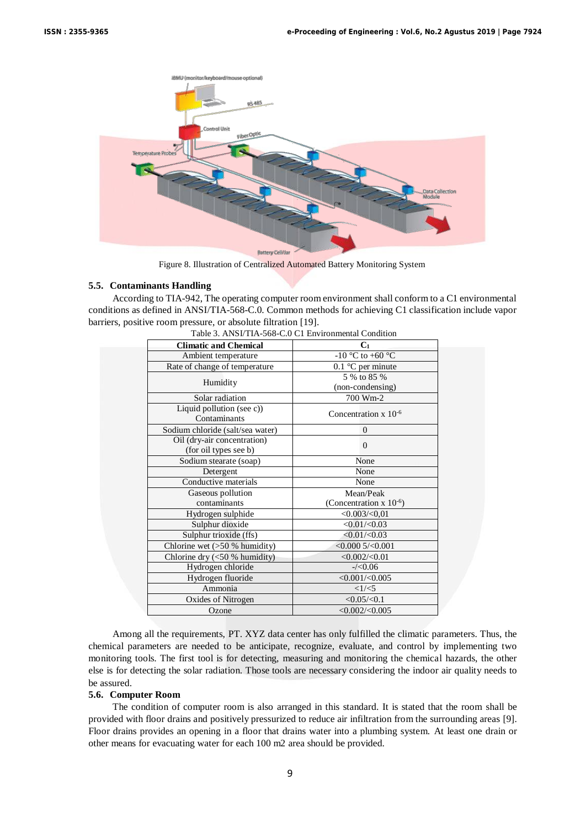

Figure 8. Illustration of Centralized Automated Battery Monitoring System

## **5.5. Contaminants Handling**

According to TIA-942, The operating computer room environment shall conform to a C1 environmental conditions as defined in ANSI/TIA-568-C.0. Common methods for achieving C1 classification include vapor barriers, positive room pressure, or absolute filtration [19].

| <b>Climatic and Chemical</b>                         | C <sub>1</sub>                     |  |
|------------------------------------------------------|------------------------------------|--|
| Ambient temperature                                  | -10 °C to +60 °C                   |  |
| Rate of change of temperature                        | $0.1$ °C per minute                |  |
| Humidity                                             | 5 % to 85 %<br>(non-condensing)    |  |
| Solar radiation                                      | 700 Wm-2                           |  |
| Liquid pollution (see c))<br>Contaminants            | Concentration $x$ 10 <sup>-6</sup> |  |
| Sodium chloride (salt/sea water)                     | $\Omega$                           |  |
| Oil (dry-air concentration)<br>(for oil types see b) | $\theta$                           |  |
| Sodium stearate (soap)                               | None                               |  |
| Detergent                                            | None                               |  |
| Conductive materials                                 | None                               |  |
| Gaseous pollution                                    | Mean/Peak                          |  |
| contaminants                                         | (Concentration x $10^{-6}$ )       |  |
| Hydrogen sulphide                                    | $<$ 0.003/ $<$ 0,01                |  |
| Sulphur dioxide                                      | $<0.01/\leq 0.03$                  |  |
| Sulphur trioxide (ffs)                               | $<0.01/\leq 0.03$                  |  |
| Chlorine wet $(50 %$ humidity)                       | $<$ 0.000 5/ $<$ 0.001             |  |
| Chlorine dry (<50 % humidity)                        | <0.002/<0.01                       |  |
| Hydrogen chloride                                    | $-\frac{20.06}{5}$                 |  |
| Hydrogen fluoride                                    | $<$ 0.001/ $<$ 0.005               |  |
| Ammonia                                              | $<1/\leq 5$                        |  |
| Oxides of Nitrogen                                   | <0.05/<0.1                         |  |
| Ozone                                                | $<$ 0.002/ $<$ 0.005               |  |

| Table 3. ANSI/TIA-568-C.0 C1 Environmental Condition |  |
|------------------------------------------------------|--|

Among all the requirements, PT. XYZ data center has only fulfilled the climatic parameters. Thus, the chemical parameters are needed to be anticipate, recognize, evaluate, and control by implementing two monitoring tools. The first tool is for detecting, measuring and monitoring the chemical hazards, the other else is for detecting the solar radiation. Those tools are necessary considering the indoor air quality needs to be assured.

## **5.6. Computer Room**

The condition of computer room is also arranged in this standard. It is stated that the room shall be provided with floor drains and positively pressurized to reduce air infiltration from the surrounding areas [9]. Floor drains provides an opening in a floor that drains water into a plumbing system. At least one drain or other means for evacuating water for each 100 m2 area should be provided.